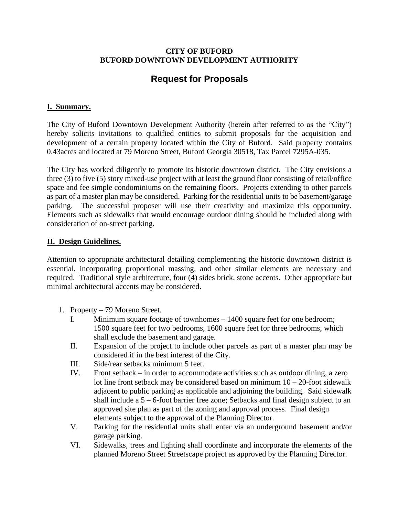#### **CITY OF BUFORD BUFORD DOWNTOWN DEVELOPMENT AUTHORITY**

# **Request for Proposals**

## **I. Summary.**

The City of Buford Downtown Development Authority (herein after referred to as the "City") hereby solicits invitations to qualified entities to submit proposals for the acquisition and development of a certain property located within the City of Buford. Said property contains 0.43acres and located at 79 Moreno Street, Buford Georgia 30518, Tax Parcel 7295A-035.

The City has worked diligently to promote its historic downtown district. The City envisions a three (3) to five (5) story mixed-use project with at least the ground floor consisting of retail/office space and fee simple condominiums on the remaining floors. Projects extending to other parcels as part of a master plan may be considered. Parking for the residential units to be basement/garage parking. The successful proposer will use their creativity and maximize this opportunity. Elements such as sidewalks that would encourage outdoor dining should be included along with consideration of on-street parking.

### **II. Design Guidelines.**

Attention to appropriate architectural detailing complementing the historic downtown district is essential, incorporating proportional massing, and other similar elements are necessary and required. Traditional style architecture, four (4) sides brick, stone accents. Other appropriate but minimal architectural accents may be considered.

- 1. Property 79 Moreno Street.
	- I. Minimum square footage of townhomes 1400 square feet for one bedroom; 1500 square feet for two bedrooms, 1600 square feet for three bedrooms, which shall exclude the basement and garage.
	- II. Expansion of the project to include other parcels as part of a master plan may be considered if in the best interest of the City.
	- III. Side/rear setbacks minimum 5 feet.
	- IV. Front setback in order to accommodate activities such as outdoor dining, a zero lot line front setback may be considered based on minimum  $10 - 20$ -foot sidewalk adjacent to public parking as applicable and adjoining the building. Said sidewalk shall include a 5 – 6-foot barrier free zone; Setbacks and final design subject to an approved site plan as part of the zoning and approval process. Final design elements subject to the approval of the Planning Director.
	- V. Parking for the residential units shall enter via an underground basement and/or garage parking.
	- VI. Sidewalks, trees and lighting shall coordinate and incorporate the elements of the planned Moreno Street Streetscape project as approved by the Planning Director.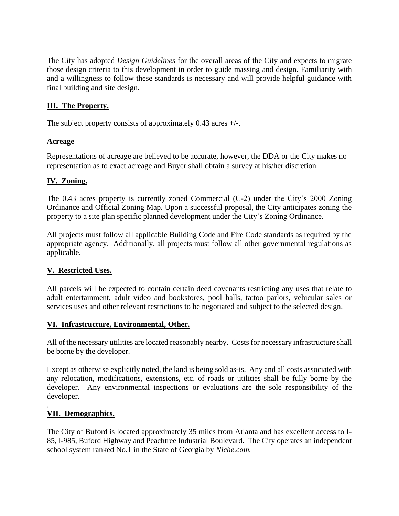The City has adopted *Design Guidelines* for the overall areas of the City and expects to migrate those design criteria to this development in order to guide massing and design. Familiarity with and a willingness to follow these standards is necessary and will provide helpful guidance with final building and site design.

## **III. The Property.**

The subject property consists of approximately  $0.43$  acres  $+/-$ .

#### **Acreage**

Representations of acreage are believed to be accurate, however, the DDA or the City makes no representation as to exact acreage and Buyer shall obtain a survey at his/her discretion.

### **IV. Zoning.**

The 0.43 acres property is currently zoned Commercial (C-2) under the City's 2000 Zoning Ordinance and Official Zoning Map. Upon a successful proposal, the City anticipates zoning the property to a site plan specific planned development under the City's Zoning Ordinance.

All projects must follow all applicable Building Code and Fire Code standards as required by the appropriate agency. Additionally, all projects must follow all other governmental regulations as applicable.

### **V. Restricted Uses.**

All parcels will be expected to contain certain deed covenants restricting any uses that relate to adult entertainment, adult video and bookstores, pool halls, tattoo parlors, vehicular sales or services uses and other relevant restrictions to be negotiated and subject to the selected design.

### **VI. Infrastructure, Environmental, Other.**

All of the necessary utilities are located reasonably nearby. Costs for necessary infrastructure shall be borne by the developer.

Except as otherwise explicitly noted, the land is being sold as-is. Any and all costs associated with any relocation, modifications, extensions, etc. of roads or utilities shall be fully borne by the developer. Any environmental inspections or evaluations are the sole responsibility of the developer.

### **VII. Demographics.**

.

The City of Buford is located approximately 35 miles from Atlanta and has excellent access to I-85, I-985, Buford Highway and Peachtree Industrial Boulevard. The City operates an independent school system ranked No.1 in the State of Georgia by *Niche.com.*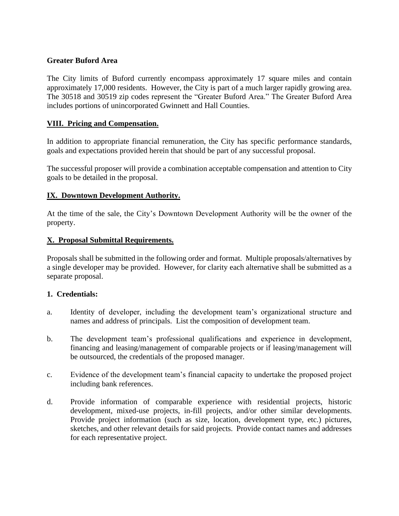#### **Greater Buford Area**

The City limits of Buford currently encompass approximately 17 square miles and contain approximately 17,000 residents. However, the City is part of a much larger rapidly growing area. The 30518 and 30519 zip codes represent the "Greater Buford Area." The Greater Buford Area includes portions of unincorporated Gwinnett and Hall Counties.

#### **VIII. Pricing and Compensation.**

In addition to appropriate financial remuneration, the City has specific performance standards, goals and expectations provided herein that should be part of any successful proposal.

The successful proposer will provide a combination acceptable compensation and attention to City goals to be detailed in the proposal.

#### **IX. Downtown Development Authority.**

At the time of the sale, the City's Downtown Development Authority will be the owner of the property.

#### **X. Proposal Submittal Requirements.**

Proposals shall be submitted in the following order and format. Multiple proposals/alternatives by a single developer may be provided. However, for clarity each alternative shall be submitted as a separate proposal.

#### **1. Credentials:**

- a. Identity of developer, including the development team's organizational structure and names and address of principals. List the composition of development team.
- b. The development team's professional qualifications and experience in development, financing and leasing/management of comparable projects or if leasing/management will be outsourced, the credentials of the proposed manager.
- c. Evidence of the development team's financial capacity to undertake the proposed project including bank references.
- d. Provide information of comparable experience with residential projects, historic development, mixed-use projects, in-fill projects, and/or other similar developments. Provide project information (such as size, location, development type, etc.) pictures, sketches, and other relevant details for said projects. Provide contact names and addresses for each representative project.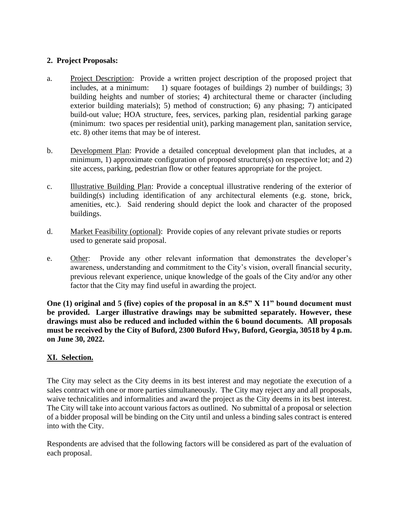### **2. Project Proposals:**

- a. Project Description: Provide a written project description of the proposed project that includes, at a minimum: 1) square footages of buildings 2) number of buildings; 3) building heights and number of stories; 4) architectural theme or character (including exterior building materials); 5) method of construction; 6) any phasing; 7) anticipated build-out value; HOA structure, fees, services, parking plan, residential parking garage (minimum: two spaces per residential unit), parking management plan, sanitation service, etc. 8) other items that may be of interest.
- b. Development Plan: Provide a detailed conceptual development plan that includes, at a minimum, 1) approximate configuration of proposed structure(s) on respective lot; and 2) site access, parking, pedestrian flow or other features appropriate for the project.
- c. Illustrative Building Plan: Provide a conceptual illustrative rendering of the exterior of building(s) including identification of any architectural elements (e.g. stone, brick, amenities, etc.). Said rendering should depict the look and character of the proposed buildings.
- d. Market Feasibility (optional): Provide copies of any relevant private studies or reports used to generate said proposal.
- e. Other: Provide any other relevant information that demonstrates the developer's awareness, understanding and commitment to the City's vision, overall financial security, previous relevant experience, unique knowledge of the goals of the City and/or any other factor that the City may find useful in awarding the project.

**One (1) original and 5 (five) copies of the proposal in an 8.5" X 11" bound document must be provided. Larger illustrative drawings may be submitted separately. However, these drawings must also be reduced and included within the 6 bound documents. All proposals must be received by the City of Buford, 2300 Buford Hwy, Buford, Georgia, 30518 by 4 p.m. on June 30, 2022.**

### **XI. Selection.**

The City may select as the City deems in its best interest and may negotiate the execution of a sales contract with one or more parties simultaneously. The City may reject any and all proposals, waive technicalities and informalities and award the project as the City deems in its best interest. The City will take into account various factors as outlined. No submittal of a proposal or selection of a bidder proposal will be binding on the City until and unless a binding sales contract is entered into with the City.

Respondents are advised that the following factors will be considered as part of the evaluation of each proposal.